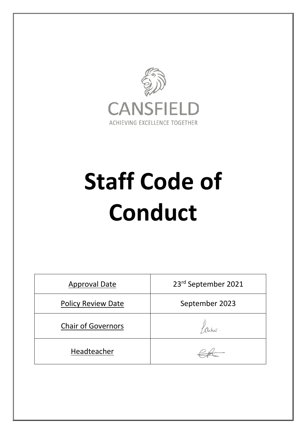

# **Staff Code of Conduct**

| <b>Approval Date</b>      | 23rd September 2021 |
|---------------------------|---------------------|
| <b>Policy Review Date</b> | September 2023      |
| <b>Chair of Governors</b> |                     |
| Headteacher               |                     |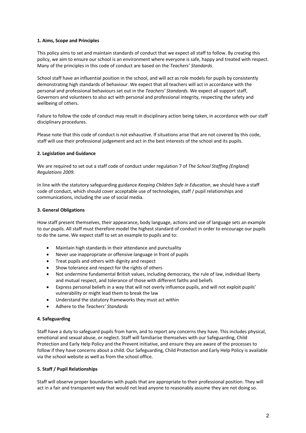# **1. Aims, Scope and Principles**

This policy aims to set and maintain standards of conduct that we expect all staff to follow. By creating this policy, we aim to ensure our school is an environment where everyone is safe, happy and treated with respect. Many of the principles in this code of conduct are based on the *Teachers' Standards*.

School staff have an influential position in the school, and will act as role models for pupils by consistently demonstrating high standards of behaviour. We expect that all teachers will act in accordance with the personal and professional behaviours set out in the *Teachers' Standards*. We expect all support staff, Governors and volunteers to also act with personal and professional integrity, respecting the safety and wellbeing of others.

Failure to follow the code of conduct may result in disciplinary action being taken, in accordance with our staff disciplinary procedures.

Please note that this code of conduct is not exhaustive. If situations arise that are not covered by this code, staff will use their professional judgement and act in the best interests of the school and its pupils.

# **2. Legislation and Guidance**

We are required to set out a staff code of conduct under regulation 7 of *The School Staffing (England) Regulations 2009*.

In line with the statutory safeguarding guidance *Keeping Children Safe in Education*, we should have a staff code of conduct, which should cover acceptable use of technologies, staff / pupil relationships and communications, including the use of social media.

# **3. General Obligations**

How staff present themselves, their appearance, body language, actions and use of language sets an example to our pupils. All staff must therefore model the highest standard of conduct in order to encourage our pupils to do the same. We expect staff to set an example to pupils and to:

- Maintain high standards in their attendance and punctuality
- Never use inappropriate or offensive language in front of pupils
- Treat pupils and others with dignity and respect
- Show tolerance and respect for the rights of others
- Not undermine fundamental British values, including democracy, the rule of law, individual liberty and mutual respect, and tolerance of those with different faiths and beliefs
- Express personal beliefs in a way that will not overly influence pupils, and will not exploit pupils' vulnerability or might lead them to break the law
- Understand the statutory frameworks they must act within
- Adhere to the *Teachers' Standards*

# **4. Safeguarding**

Staff have a duty to safeguard pupils from harm, and to report any concerns they have. This includes physical, emotional and sexual abuse, or neglect. Staff will familiarise themselves with our Safeguarding, Child Protection and Early Help Policy and the Prevent initiative, and ensure they are aware of the processes to follow if they have concerns about a child. Our Safeguarding, Child Protection and Early Help Policy is available via the school website as well as from the school office.

# **5. Staff / Pupil Relationships**

Staff will observe proper boundaries with pupils that are appropriate to their professional position. They will act in a fair and transparent way that would not lead anyone to reasonably assume they are not doing so.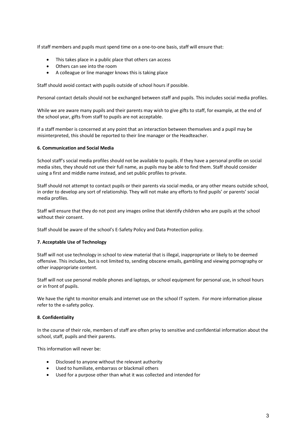If staff members and pupils must spend time on a one-to-one basis, staff will ensure that:

- This takes place in a public place that others can access
- Others can see into the room
- A colleague or line manager knows this is taking place

Staff should avoid contact with pupils outside of school hours if possible.

Personal contact details should not be exchanged between staff and pupils. This includes social media profiles.

While we are aware many pupils and their parents may wish to give gifts to staff, for example, at the end of the school year, gifts from staff to pupils are not acceptable.

If a staff member is concerned at any point that an interaction between themselves and a pupil may be misinterpreted, this should be reported to their line manager or the Headteacher.

# **6. Communication and Social Media**

School staff's social media profiles should not be available to pupils. If they have a personal profile on social media sites, they should not use their full name, as pupils may be able to find them. Staff should consider using a first and middle name instead, and set public profiles to private.

Staff should not attempt to contact pupils or their parents via social media, or any other means outside school, in order to develop any sort of relationship. They will not make any efforts to find pupils' or parents' social media profiles.

Staff will ensure that they do not post any images online that identify children who are pupils at the school without their consent.

Staff should be aware of the school's E-Safety Policy and Data Protection policy.

# **7. Acceptable Use of Technology**

Staff will not use technology in school to view material that is illegal, inappropriate or likely to be deemed offensive. This includes, but is not limited to, sending obscene emails, gambling and viewing pornography or other inappropriate content.

Staff will not use personal mobile phones and laptops, or school equipment for personal use, in school hours or in front of pupils.

We have the right to monitor emails and internet use on the school IT system. For more information please refer to the e-safety policy.

# **8. Confidentiality**

In the course of their role, members of staff are often privy to sensitive and confidential information about the school, staff, pupils and their parents.

This information will never be:

- Disclosed to anyone without the relevant authority
- Used to humiliate, embarrass or blackmail others
- Used for a purpose other than what it was collected and intended for